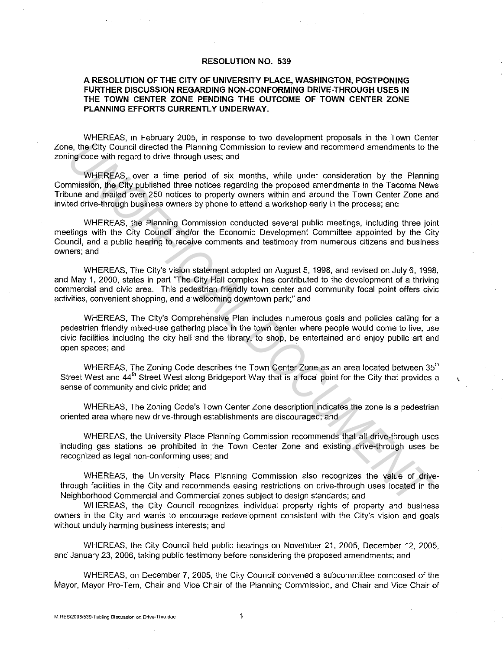## **RESOLUTION NO. 539**

## **A RESOLUTION OF THE CITY OF UNIVERSITY PLACE, WASHINGTON, POSTPONING FURTHER DISCUSSION REGARDING NON-CONFORMING DRIVE-THROUGH USES IN THE TOWN CENTER ZONE PENDING THE OUTCOME OF TOWN CENTER ZONE PLANNING EFFORTS CURRENTLY UNDERWAY.**

WHEREAS, in February 2005, in response to two development proposals in the Town Center Zone, the City Council directed the Planning Commission to review and recommend amendments to the zoning code with regard to drive-through uses; and

WHEREAS, over a time period of six months, while under consideration by the Planning Commission, the City published three notices regarding the proposed amendments in the Tacoma News Tribune and mailed over 250 notices to property owners within and around the Town Center Zone and invited drive-through business owners by phone to attend a workshop early in the process; and

WHEREAS, the Planning Commission conducted several public meetings, including three joint meetings with the City Council and/or the Economic Development Committee appointed by the City Council, and a public hearing to receive comments and testimony from numerous citizens and business owners; and

WHEREAS, The City's vision statement adopted on August 5, 1998, and revised on July 6, 1998, and May 1, 2000, states in part "The City Hall complex has contributed to the development of a thriving commercial and civic area. This pedestrian friendly town center and community focal point offers civic activities, convenient shopping, and a welcoming downtown park;" and

WHEREAS, The City's Comprehensive Plan includes numerous goals and policies calling for a pedestrian friendly mixed-use gathering place in the town center where people would come to live, use civic facilities including the city hall and the library, to shop, be entertained and enjoy public. art and open spaces; and is, the Gity Council dreated the Pianning Commission to review and recommend amendments to the minimum in the Council dreated the Pianning Commission to review and recommend amendments to the UNOFFICIAL UNIVENDENT (WHEREAS

WHEREAS, The Zoning Code describes the Town Center Zone as an area located between  $35<sup>th</sup>$ Street West and 44<sup>th</sup> Street West along Bridgeport Way that is a focal point for the City that provides a sense of community and civic pride; and

ŧ

WHEREAS, The Zoning Code's Town Center Zone description indicates the zone is a pedestrian oriented area where new drive-through establishments are discouraged; and

WHEREAS, the University Place Planning Commission recommends that all drive-through uses including gas stations be prohibited in the Town Center Zone and existing drive-through uses be recognized as legal non-conforming uses; and

WHEREAS, the University Place Planning Commission also recognizes the value bf drivethrough facilities in the City and recommends easing restrictions on drive-through uses located in the Neighborhood Commercial and Commercial zones subject to design standards; and

WHEREAS, the City Council recognizes individual property rights of property and business owners in the City and wants to encourage redevelopment consistent with the City's vision and goals without unduly harming business interests; and

WHEREAS, the City Council held public hearings on November 21, 2005, December 12, 2005, and January 23, 2006, taking public testimony before considering the proposed amendments; and

WHEREAS, on December 7, 2005, the City Council convened a subcommittee composed of the Mayor, Mayor Pro-Tern, Chair and Vice Chair of the Planning Commission, and Chair and Vice Chair of